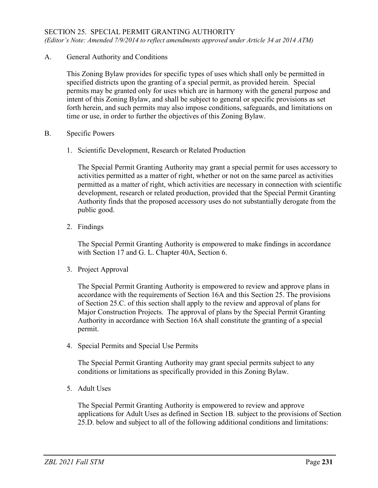# SECTION 25. SPECIAL PERMIT GRANTING AUTHORITY

*(Editor's Note: Amended 7/9/2014 to reflect amendments approved under Article 34 at 2014 ATM)*

A. General Authority and Conditions

This Zoning Bylaw provides for specific types of uses which shall only be permitted in specified districts upon the granting of a special permit, as provided herein. Special permits may be granted only for uses which are in harmony with the general purpose and intent of this Zoning Bylaw, and shall be subject to general or specific provisions as set forth herein, and such permits may also impose conditions, safeguards, and limitations on time or use, in order to further the objectives of this Zoning Bylaw.

#### B. Specific Powers

1. Scientific Development, Research or Related Production

The Special Permit Granting Authority may grant a special permit for uses accessory to activities permitted as a matter of right, whether or not on the same parcel as activities permitted as a matter of right, which activities are necessary in connection with scientific development, research or related production, provided that the Special Permit Granting Authority finds that the proposed accessory uses do not substantially derogate from the public good.

2. Findings

The Special Permit Granting Authority is empowered to make findings in accordance with Section 17 and G. L. Chapter 40A, Section 6.

3. Project Approval

The Special Permit Granting Authority is empowered to review and approve plans in accordance with the requirements of Section 16A and this Section 25. The provisions of Section 25.C. of this section shall apply to the review and approval of plans for Major Construction Projects. The approval of plans by the Special Permit Granting Authority in accordance with Section 16A shall constitute the granting of a special permit.

4. Special Permits and Special Use Permits

The Special Permit Granting Authority may grant special permits subject to any conditions or limitations as specifically provided in this Zoning Bylaw.

5. Adult Uses

The Special Permit Granting Authority is empowered to review and approve applications for Adult Uses as defined in Section 1B. subject to the provisions of Section 25.D. below and subject to all of the following additional conditions and limitations: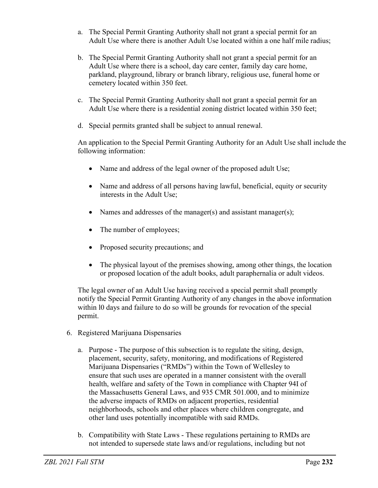- a. The Special Permit Granting Authority shall not grant a special permit for an Adult Use where there is another Adult Use located within a one half mile radius;
- b. The Special Permit Granting Authority shall not grant a special permit for an Adult Use where there is a school, day care center, family day care home, parkland, playground, library or branch library, religious use, funeral home or cemetery located within 350 feet.
- c. The Special Permit Granting Authority shall not grant a special permit for an Adult Use where there is a residential zoning district located within 350 feet;
- d. Special permits granted shall be subject to annual renewal.

An application to the Special Permit Granting Authority for an Adult Use shall include the following information:

- Name and address of the legal owner of the proposed adult Use;
- Name and address of all persons having lawful, beneficial, equity or security interests in the Adult Use;
- Names and addresses of the manager(s) and assistant manager(s);
- The number of employees;
- Proposed security precautions; and
- The physical layout of the premises showing, among other things, the location or proposed location of the adult books, adult paraphernalia or adult videos.

The legal owner of an Adult Use having received a special permit shall promptly notify the Special Permit Granting Authority of any changes in the above information within l0 days and failure to do so will be grounds for revocation of the special permit.

- 6. Registered Marijuana Dispensaries
	- a. Purpose The purpose of this subsection is to regulate the siting, design, placement, security, safety, monitoring, and modifications of Registered Marijuana Dispensaries ("RMDs") within the Town of Wellesley to ensure that such uses are operated in a manner consistent with the overall health, welfare and safety of the Town in compliance with Chapter 94I of the Massachusetts General Laws, and 935 CMR 501.000, and to minimize the adverse impacts of RMDs on adjacent properties, residential neighborhoods, schools and other places where children congregate, and other land uses potentially incompatible with said RMDs.
	- b. Compatibility with State Laws These regulations pertaining to RMDs are not intended to supersede state laws and/or regulations, including but not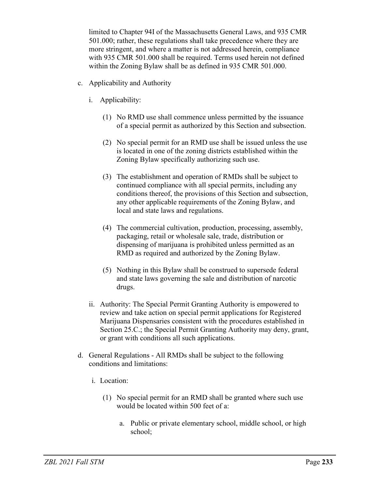limited to Chapter 94I of the Massachusetts General Laws, and 935 CMR 501.000; rather, these regulations shall take precedence where they are more stringent, and where a matter is not addressed herein, compliance with 935 CMR 501.000 shall be required. Terms used herein not defined within the Zoning Bylaw shall be as defined in 935 CMR 501.000.

- c. Applicability and Authority
	- i. Applicability:
		- (1) No RMD use shall commence unless permitted by the issuance of a special permit as authorized by this Section and subsection.
		- (2) No special permit for an RMD use shall be issued unless the use is located in one of the zoning districts established within the Zoning Bylaw specifically authorizing such use.
		- (3) The establishment and operation of RMDs shall be subject to continued compliance with all special permits, including any conditions thereof, the provisions of this Section and subsection, any other applicable requirements of the Zoning Bylaw, and local and state laws and regulations.
		- (4) The commercial cultivation, production, processing, assembly, packaging, retail or wholesale sale, trade, distribution or dispensing of marijuana is prohibited unless permitted as an RMD as required and authorized by the Zoning Bylaw.
		- (5) Nothing in this Bylaw shall be construed to supersede federal and state laws governing the sale and distribution of narcotic drugs.
	- ii. Authority: The Special Permit Granting Authority is empowered to review and take action on special permit applications for Registered Marijuana Dispensaries consistent with the procedures established in Section 25.C.; the Special Permit Granting Authority may deny, grant, or grant with conditions all such applications.
- d. General Regulations All RMDs shall be subject to the following conditions and limitations:
	- i. Location:
		- (1) No special permit for an RMD shall be granted where such use would be located within 500 feet of a:
			- a. Public or private elementary school, middle school, or high school;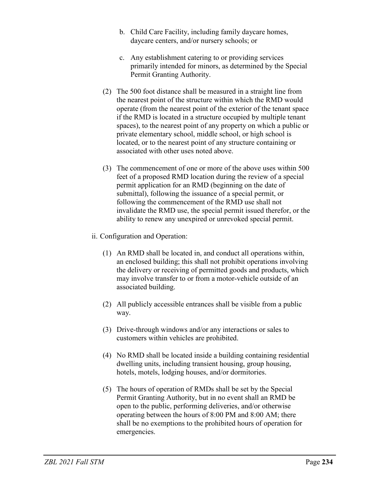- b. Child Care Facility, including family daycare homes, daycare centers, and/or nursery schools; or
- c. Any establishment catering to or providing services primarily intended for minors, as determined by the Special Permit Granting Authority.
- (2) The 500 foot distance shall be measured in a straight line from the nearest point of the structure within which the RMD would operate (from the nearest point of the exterior of the tenant space if the RMD is located in a structure occupied by multiple tenant spaces), to the nearest point of any property on which a public or private elementary school, middle school, or high school is located, or to the nearest point of any structure containing or associated with other uses noted above.
- (3) The commencement of one or more of the above uses within 500 feet of a proposed RMD location during the review of a special permit application for an RMD (beginning on the date of submittal), following the issuance of a special permit, or following the commencement of the RMD use shall not invalidate the RMD use, the special permit issued therefor, or the ability to renew any unexpired or unrevoked special permit.
- ii. Configuration and Operation:
	- (1) An RMD shall be located in, and conduct all operations within, an enclosed building; this shall not prohibit operations involving the delivery or receiving of permitted goods and products, which may involve transfer to or from a motor-vehicle outside of an associated building.
	- (2) All publicly accessible entrances shall be visible from a public way.
	- (3) Drive-through windows and/or any interactions or sales to customers within vehicles are prohibited.
	- (4) No RMD shall be located inside a building containing residential dwelling units, including transient housing, group housing, hotels, motels, lodging houses, and/or dormitories.
	- (5) The hours of operation of RMDs shall be set by the Special Permit Granting Authority, but in no event shall an RMD be open to the public, performing deliveries, and/or otherwise operating between the hours of 8:00 PM and 8:00 AM; there shall be no exemptions to the prohibited hours of operation for emergencies.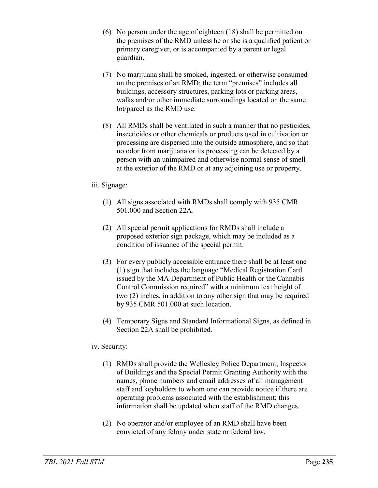- (6) No person under the age of eighteen (18) shall be permitted on the premises of the RMD unless he or she is a qualified patient or primary caregiver, or is accompanied by a parent or legal guardian.
- (7) No marijuana shall be smoked, ingested, or otherwise consumed on the premises of an RMD; the term "premises" includes all buildings, accessory structures, parking lots or parking areas, walks and/or other immediate surroundings located on the same lot/parcel as the RMD use.
- (8) All RMDs shall be ventilated in such a manner that no pesticides, insecticides or other chemicals or products used in cultivation or processing are dispersed into the outside atmosphere, and so that no odor from marijuana or its processing can be detected by a person with an unimpaired and otherwise normal sense of smell at the exterior of the RMD or at any adjoining use or property.

### iii. Signage:

- (1) All signs associated with RMDs shall comply with 935 CMR 501.000 and Section 22A.
- (2) All special permit applications for RMDs shall include a proposed exterior sign package, which may be included as a condition of issuance of the special permit.
- (3) For every publicly accessible entrance there shall be at least one (1) sign that includes the language "Medical Registration Card issued by the MA Department of Public Health or the Cannabis Control Commission required" with a minimum text height of two (2) inches, in addition to any other sign that may be required by 935 CMR 501.000 at such location.
- (4) Temporary Signs and Standard Informational Signs, as defined in Section 22A shall be prohibited.

# iv. Security:

- (1) RMDs shall provide the Wellesley Police Department, Inspector of Buildings and the Special Permit Granting Authority with the names, phone numbers and email addresses of all management staff and keyholders to whom one can provide notice if there are operating problems associated with the establishment; this information shall be updated when staff of the RMD changes.
- (2) No operator and/or employee of an RMD shall have been convicted of any felony under state or federal law.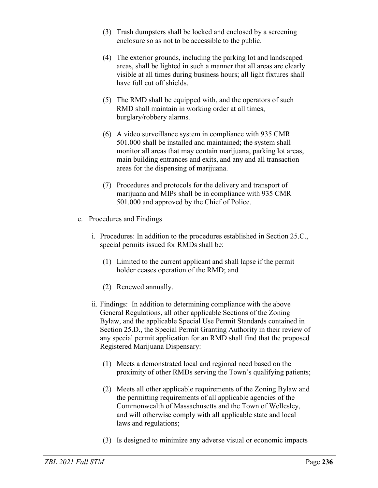- (3) Trash dumpsters shall be locked and enclosed by a screening enclosure so as not to be accessible to the public.
- (4) The exterior grounds, including the parking lot and landscaped areas, shall be lighted in such a manner that all areas are clearly visible at all times during business hours; all light fixtures shall have full cut off shields.
- (5) The RMD shall be equipped with, and the operators of such RMD shall maintain in working order at all times, burglary/robbery alarms.
- (6) A video surveillance system in compliance with 935 CMR 501.000 shall be installed and maintained; the system shall monitor all areas that may contain marijuana, parking lot areas, main building entrances and exits, and any and all transaction areas for the dispensing of marijuana.
- (7) Procedures and protocols for the delivery and transport of marijuana and MIPs shall be in compliance with 935 CMR 501.000 and approved by the Chief of Police.
- e. Procedures and Findings
	- i. Procedures: In addition to the procedures established in Section 25.C., special permits issued for RMDs shall be:
		- (1) Limited to the current applicant and shall lapse if the permit holder ceases operation of the RMD; and
		- (2) Renewed annually.
	- ii. Findings: In addition to determining compliance with the above General Regulations, all other applicable Sections of the Zoning Bylaw, and the applicable Special Use Permit Standards contained in Section 25.D., the Special Permit Granting Authority in their review of any special permit application for an RMD shall find that the proposed Registered Marijuana Dispensary:
		- (1) Meets a demonstrated local and regional need based on the proximity of other RMDs serving the Town's qualifying patients;
		- (2) Meets all other applicable requirements of the Zoning Bylaw and the permitting requirements of all applicable agencies of the Commonwealth of Massachusetts and the Town of Wellesley, and will otherwise comply with all applicable state and local laws and regulations;
		- (3) Is designed to minimize any adverse visual or economic impacts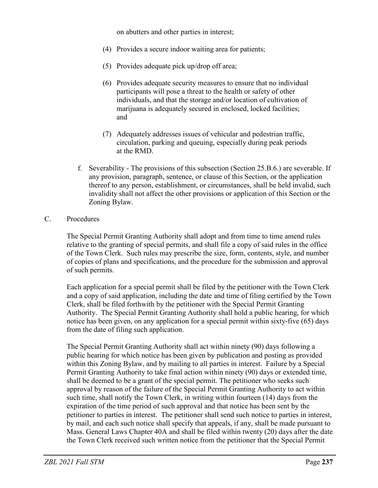on abutters and other parties in interest;

- (4) Provides a secure indoor waiting area for patients;
- (5) Provides adequate pick up/drop off area;
- (6) Provides adequate security measures to ensure that no individual participants will pose a threat to the health or safety of other individuals, and that the storage and/or location of cultivation of marijuana is adequately secured in enclosed, locked facilities; and
- (7) Adequately addresses issues of vehicular and pedestrian traffic, circulation, parking and queuing, especially during peak periods at the RMD.
- f. Severability The provisions of this subsection (Section 25.B.6.) are severable. If any provision, paragraph, sentence, or clause of this Section, or the application thereof to any person, establishment, or circumstances, shall be held invalid, such invalidity shall not affect the other provisions or application of this Section or the Zoning Bylaw.

### C. Procedures

The Special Permit Granting Authority shall adopt and from time to time amend rules relative to the granting of special permits, and shall file a copy of said rules in the office of the Town Clerk. Such rules may prescribe the size, form, contents, style, and number of copies of plans and specifications, and the procedure for the submission and approval of such permits.

Each application for a special permit shall be filed by the petitioner with the Town Clerk and a copy of said application, including the date and time of filing certified by the Town Clerk, shall be filed forthwith by the petitioner with the Special Permit Granting Authority. The Special Permit Granting Authority shall hold a public hearing, for which notice has been given, on any application for a special permit within sixty-five (65) days from the date of filing such application.

The Special Permit Granting Authority shall act within ninety (90) days following a public hearing for which notice has been given by publication and posting as provided within this Zoning Bylaw, and by mailing to all parties in interest. Failure by a Special Permit Granting Authority to take final action within ninety (90) days or extended time, shall be deemed to be a grant of the special permit. The petitioner who seeks such approval by reason of the failure of the Special Permit Granting Authority to act within such time, shall notify the Town Clerk, in writing within fourteen (14) days from the expiration of the time period of such approval and that notice has been sent by the petitioner to parties in interest. The petitioner shall send such notice to parties in interest, by mail, and each such notice shall specify that appeals, if any, shall be made pursuant to Mass. General Laws Chapter 40A and shall be filed within twenty (20) days after the date the Town Clerk received such written notice from the petitioner that the Special Permit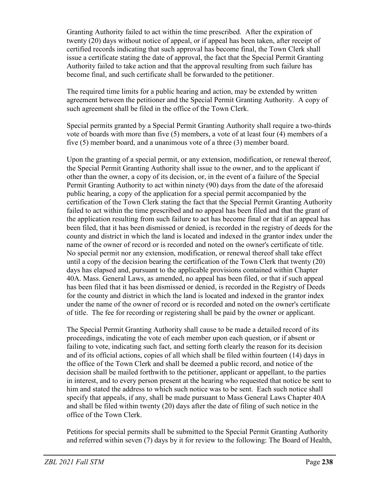Granting Authority failed to act within the time prescribed. After the expiration of twenty (20) days without notice of appeal, or if appeal has been taken, after receipt of certified records indicating that such approval has become final, the Town Clerk shall issue a certificate stating the date of approval, the fact that the Special Permit Granting Authority failed to take action and that the approval resulting from such failure has become final, and such certificate shall be forwarded to the petitioner.

The required time limits for a public hearing and action, may be extended by written agreement between the petitioner and the Special Permit Granting Authority. A copy of such agreement shall be filed in the office of the Town Clerk.

Special permits granted by a Special Permit Granting Authority shall require a two-thirds vote of boards with more than five (5) members, a vote of at least four (4) members of a five (5) member board, and a unanimous vote of a three (3) member board.

Upon the granting of a special permit, or any extension, modification, or renewal thereof, the Special Permit Granting Authority shall issue to the owner, and to the applicant if other than the owner, a copy of its decision, or, in the event of a failure of the Special Permit Granting Authority to act within ninety (90) days from the date of the aforesaid public hearing, a copy of the application for a special permit accompanied by the certification of the Town Clerk stating the fact that the Special Permit Granting Authority failed to act within the time prescribed and no appeal has been filed and that the grant of the application resulting from such failure to act has become final or that if an appeal has been filed, that it has been dismissed or denied, is recorded in the registry of deeds for the county and district in which the land is located and indexed in the grantor index under the name of the owner of record or is recorded and noted on the owner's certificate of title. No special permit nor any extension, modification, or renewal thereof shall take effect until a copy of the decision bearing the certification of the Town Clerk that twenty (20) days has elapsed and, pursuant to the applicable provisions contained within Chapter 40A. Mass. General Laws, as amended, no appeal has been filed, or that if such appeal has been filed that it has been dismissed or denied, is recorded in the Registry of Deeds for the county and district in which the land is located and indexed in the grantor index under the name of the owner of record or is recorded and noted on the owner's certificate of title. The fee for recording or registering shall be paid by the owner or applicant.

The Special Permit Granting Authority shall cause to be made a detailed record of its proceedings, indicating the vote of each member upon each question, or if absent or failing to vote, indicating such fact, and setting forth clearly the reason for its decision and of its official actions, copies of all which shall be filed within fourteen (14) days in the office of the Town Clerk and shall be deemed a public record, and notice of the decision shall be mailed forthwith to the petitioner, applicant or appellant, to the parties in interest, and to every person present at the hearing who requested that notice be sent to him and stated the address to which such notice was to be sent. Each such notice shall specify that appeals, if any, shall be made pursuant to Mass General Laws Chapter 40A and shall be filed within twenty (20) days after the date of filing of such notice in the office of the Town Clerk.

Petitions for special permits shall be submitted to the Special Permit Granting Authority and referred within seven (7) days by it for review to the following: The Board of Health,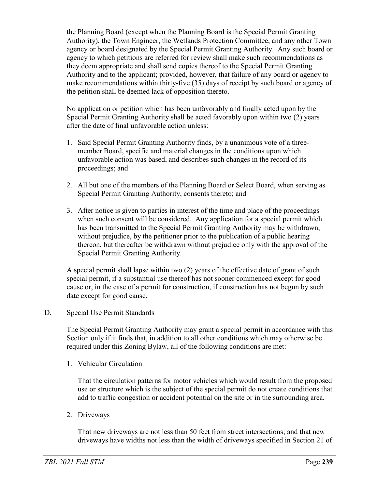the Planning Board (except when the Planning Board is the Special Permit Granting Authority), the Town Engineer, the Wetlands Protection Committee, and any other Town agency or board designated by the Special Permit Granting Authority. Any such board or agency to which petitions are referred for review shall make such recommendations as they deem appropriate and shall send copies thereof to the Special Permit Granting Authority and to the applicant; provided, however, that failure of any board or agency to make recommendations within thirty-five (35) days of receipt by such board or agency of the petition shall be deemed lack of opposition thereto.

No application or petition which has been unfavorably and finally acted upon by the Special Permit Granting Authority shall be acted favorably upon within two (2) years after the date of final unfavorable action unless:

- 1. Said Special Permit Granting Authority finds, by a unanimous vote of a threemember Board, specific and material changes in the conditions upon which unfavorable action was based, and describes such changes in the record of its proceedings; and
- 2. All but one of the members of the Planning Board or Select Board, when serving as Special Permit Granting Authority, consents thereto; and
- 3. After notice is given to parties in interest of the time and place of the proceedings when such consent will be considered. Any application for a special permit which has been transmitted to the Special Permit Granting Authority may be withdrawn, without prejudice, by the petitioner prior to the publication of a public hearing thereon, but thereafter be withdrawn without prejudice only with the approval of the Special Permit Granting Authority.

A special permit shall lapse within two (2) years of the effective date of grant of such special permit, if a substantial use thereof has not sooner commenced except for good cause or, in the case of a permit for construction, if construction has not begun by such date except for good cause.

# D. Special Use Permit Standards

The Special Permit Granting Authority may grant a special permit in accordance with this Section only if it finds that, in addition to all other conditions which may otherwise be required under this Zoning Bylaw, all of the following conditions are met:

1. Vehicular Circulation

That the circulation patterns for motor vehicles which would result from the proposed use or structure which is the subject of the special permit do not create conditions that add to traffic congestion or accident potential on the site or in the surrounding area.

2. Driveways

That new driveways are not less than 50 feet from street intersections; and that new driveways have widths not less than the width of driveways specified in Section 21 of